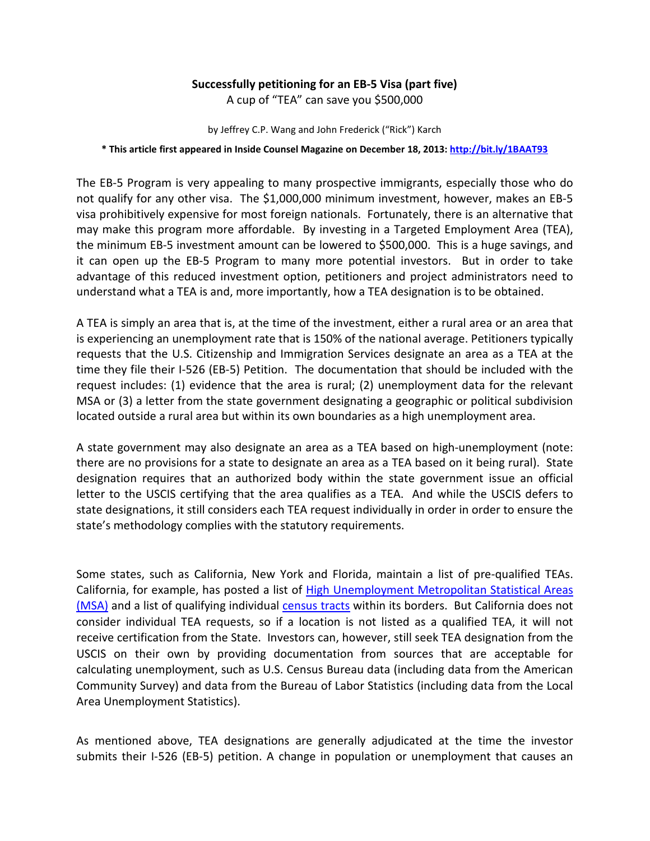## **Successfully petitioning for an EB-5 Visa (part five)**

A cup of "TEA" can save you \$500,000

by Jeffrey C.P. Wang and John Frederick ("Rick") Karch

## **\* This article first appeared in Inside Counsel Magazine on December 18, 2013:<http://bit.ly/1BAAT93>**

The EB-5 Program is very appealing to many prospective immigrants, especially those who do not qualify for any other visa. The \$1,000,000 minimum investment, however, makes an EB-5 visa prohibitively expensive for most foreign nationals. Fortunately, there is an alternative that may make this program more affordable. By investing in a Targeted Employment Area (TEA), the minimum EB-5 investment amount can be lowered to \$500,000. This is a huge savings, and it can open up the EB-5 Program to many more potential investors. But in order to take advantage of this reduced investment option, petitioners and project administrators need to understand what a TEA is and, more importantly, how a TEA designation is to be obtained.

A TEA is simply an area that is, at the time of the investment, either a rural area or an area that is experiencing an unemployment rate that is 150% of the national average. Petitioners typically requests that the U.S. Citizenship and Immigration Services designate an area as a TEA at the time they file their I-526 (EB-5) Petition. The documentation that should be included with the request includes: (1) evidence that the area is rural; (2) unemployment data for the relevant MSA or (3) a letter from the state government designating a geographic or political subdivision located outside a rural area but within its own boundaries as a high unemployment area.

A state government may also designate an area as a TEA based on high-unemployment (note: there are no provisions for a state to designate an area as a TEA based on it being rural). State designation requires that an authorized body within the state government issue an official letter to the USCIS certifying that the area qualifies as a TEA. And while the USCIS defers to state designations, it still considers each TEA request individually in order in order to ensure the state's methodology complies with the statutory requirements.

Some states, such as California, New York and Florida, maintain a list of pre-qualified TEAs. California, for example, has posted a list of High Unemployment Metropolitan Statistical Areas [\(MSA\)](http://business.ca.gov/Portals/0/InternationalBiz/EB5/2012%20CA%20High%20Unemployment%20Areas.pdf) and a list of qualifying individual [census tracts](http://business.ca.gov/Portals/0/InternationalBiz/EB5/California%20All%20Census%20Tract%202012.pdf) within its borders. But California does not consider individual TEA requests, so if a location is not listed as a qualified TEA, it will not receive certification from the State. Investors can, however, still seek TEA designation from the USCIS on their own by providing documentation from sources that are acceptable for calculating unemployment, such as U.S. Census Bureau data (including data from the American Community Survey) and data from the Bureau of Labor Statistics (including data from the Local Area Unemployment Statistics).

As mentioned above, TEA designations are generally adjudicated at the time the investor submits their I-526 (EB-5) petition. A change in population or unemployment that causes an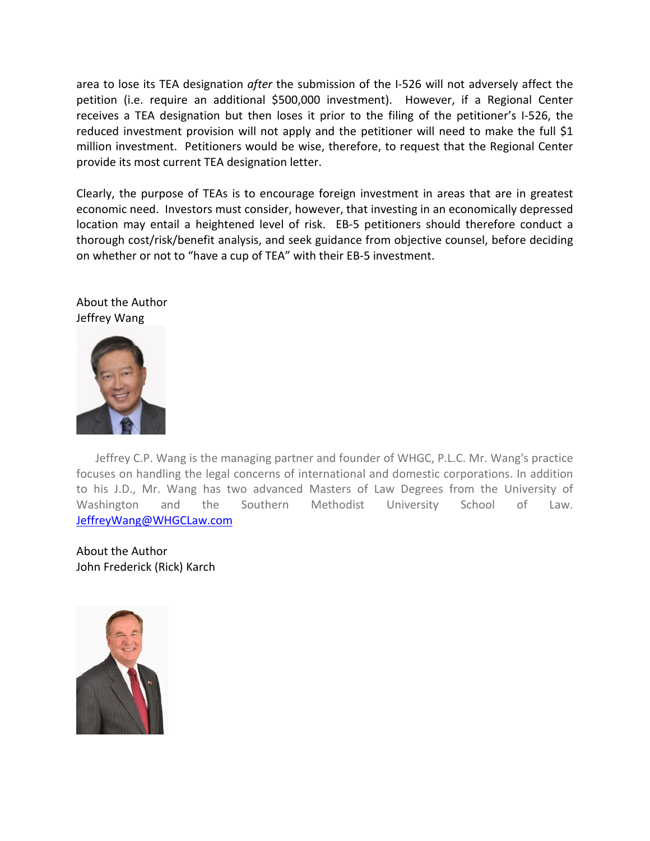area to lose its TEA designation *after* the submission of the I-526 will not adversely affect the petition (i.e. require an additional \$500,000 investment). However, if a Regional Center receives a TEA designation but then loses it prior to the filing of the petitioner's I-526, the reduced investment provision will not apply and the petitioner will need to make the full \$1 million investment. Petitioners would be wise, therefore, to request that the Regional Center provide its most current TEA designation letter.

Clearly, the purpose of TEAs is to encourage foreign investment in areas that are in greatest economic need. Investors must consider, however, that investing in an economically depressed location may entail a heightened level of risk. EB-5 petitioners should therefore conduct a thorough cost/risk/benefit analysis, and seek guidance from objective counsel, before deciding on whether or not to "have a cup of TEA" with their EB-5 investment.

About the Author Jeffrey Wang



Jeffrey C.P. Wang is the managing partner and founder of WHGC, P.L.C. Mr. Wang's practice focuses on handling the legal concerns of international and domestic corporations. In addition to his J.D., Mr. Wang has two advanced Masters of Law Degrees from the University of Washington and the Southern Methodist University School of Law. [JeffreyWang@WHGCLaw.com](mailto:JeffreyWang@WHGCLaw.com)

About the Author John Frederick (Rick) Karch